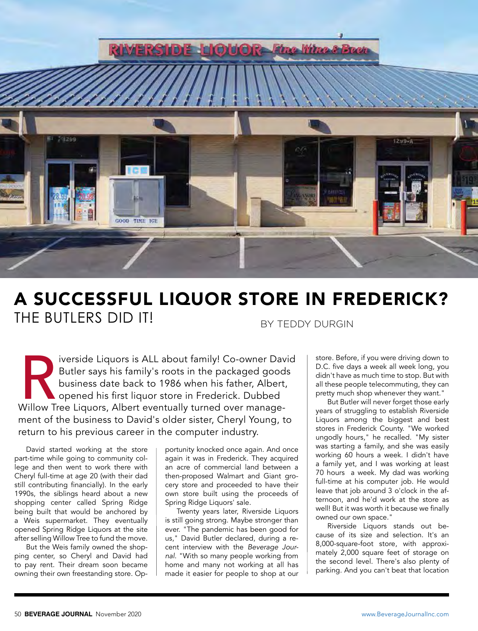

## A SUCCESSFUL LIQUOR STORE IN FREDERICK? THE BUTLERS DID IT! BY TEDDY DURGIN

iverside Liquors is ALL about family! Co-owner David Butler says his family's roots in the packaged goods business date back to 1986 when his father, Albert, opened his first liquor store in Frederick. Dubbed Willow Tree Liquors, Albert eventually turned over management of the business to David's older sister, Cheryl Young, to return to his previous career in the computer industry.

David started working at the store part-time while going to community college and then went to work there with Cheryl full-time at age 20 (with their dad still contributing financially). In the early 1990s, the siblings heard about a new shopping center called Spring Ridge being built that would be anchored by a Weis supermarket. They eventually opened Spring Ridge Liquors at the site after selling Willow Tree to fund the move.

But the Weis family owned the shopping center, so Cheryl and David had to pay rent. Their dream soon became owning their own freestanding store. Opportunity knocked once again. And once again it was in Frederick. They acquired an acre of commercial land between a then-proposed Walmart and Giant grocery store and proceeded to have their own store built using the proceeds of Spring Ridge Liquors' sale.

Twenty years later, Riverside Liquors is still going strong. Maybe stronger than ever. "The pandemic has been good for us," David Butler declared, during a recent interview with the *Beverage Journal*. "With so many people working from home and many not working at all has made it easier for people to shop at our store. Before, if you were driving down to D.C. five days a week all week long, you didn't have as much time to stop. But with all these people telecommuting, they can pretty much shop whenever they want."

But Butler will never forget those early years of struggling to establish Riverside Liquors among the biggest and best stores in Frederick County. "We worked ungodly hours," he recalled. "My sister was starting a family, and she was easily working 60 hours a week. I didn't have a family yet, and I was working at least 70 hours a week. My dad was working full-time at his computer job. He would leave that job around 3 o'clock in the afternoon, and he'd work at the store as well! But it was worth it because we finally owned our own space."

Riverside Liquors stands out because of its size and selection. It's an 8,000-square-foot store, with approximately 2,000 square feet of storage on the second level. There's also plenty of parking. And you can't beat that location